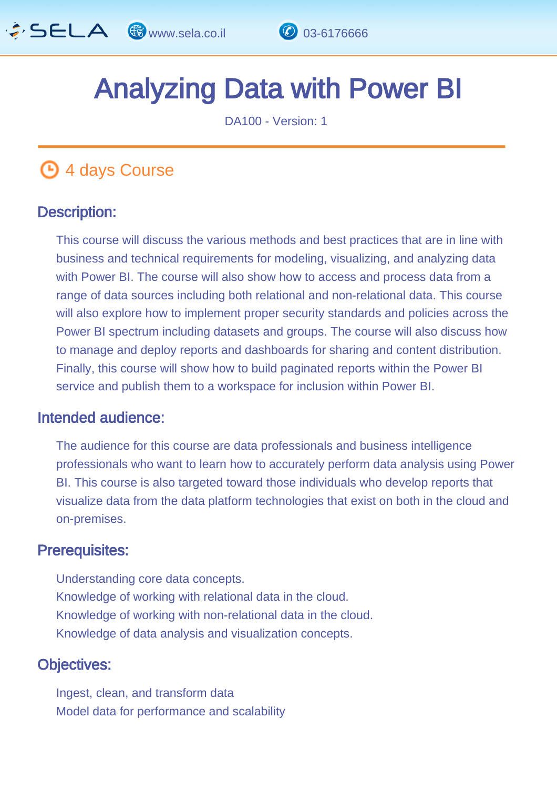

## Analyzing Data with Power BI  $\overline{a}$

DA100 - Version: 1

# **4 days Course**

#### Description: Ĩ

This course will discuss the various methods and best practices that are in line with business and technical requirements for modeling, visualizing, and analyzing data with Power BI. The course will also show how to access and process data from a range of data sources including both relational and non-relational data. This course will also explore how to implement proper security standards and policies across the Power BI spectrum including datasets and groups. The course will also discuss how to manage and deploy reports and dashboards for sharing and content distribution. Finally, this course will show how to build paginated reports within the Power BI service and publish them to a workspace for inclusion within Power BI.

#### Intended audience: ľ

The audience for this course are data professionals and business intelligence professionals who want to learn how to accurately perform data analysis using Power BI. This course is also targeted toward those individuals who develop reports that visualize data from the data platform technologies that exist on both in the cloud and on-premises.

#### Prerequisites: Į

Understanding core data concepts. Knowledge of working with relational data in the cloud. Knowledge of working with non-relational data in the cloud. Knowledge of data analysis and visualization concepts.

#### Objectives: Ĭ

Ingest, clean, and transform data Model data for performance and scalability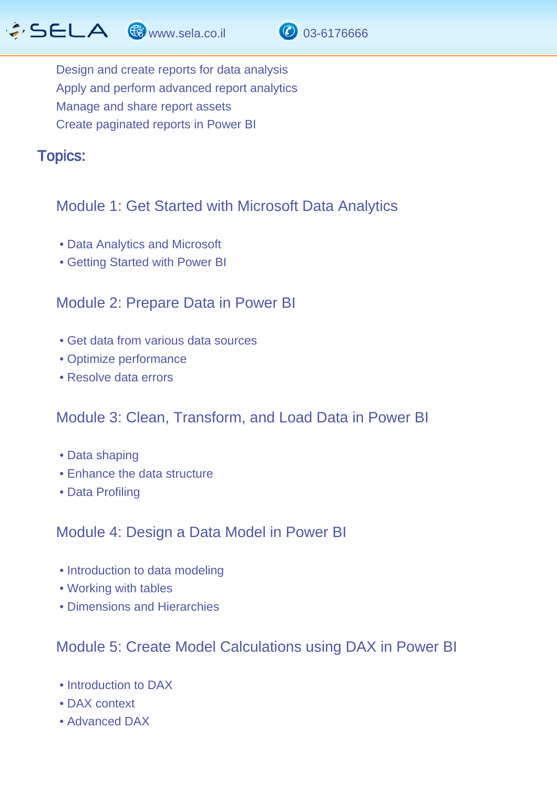

Design and create reports for data analysis Apply and perform advanced report analytics Manage and share report assets Create paginated reports in Power BI

Topics: J.

### Module 1: Get Started with Microsoft Data Analytics

- Data Analytics and Microsoft
- Getting Started with Power BI

### Module 2: Prepare Data in Power BI

- Get data from various data sources
- Optimize performance
- Resolve data errors

### Module 3: Clean, Transform, and Load Data in Power BI

- Data shaping
- Enhance the data structure
- Data Profiling

#### Module 4: Design a Data Model in Power BI

- Introduction to data modeling
- Working with tables
- Dimensions and Hierarchies

### Module 5: Create Model Calculations using DAX in Power BI

- Introduction to DAX
- DAX context
- Advanced DAX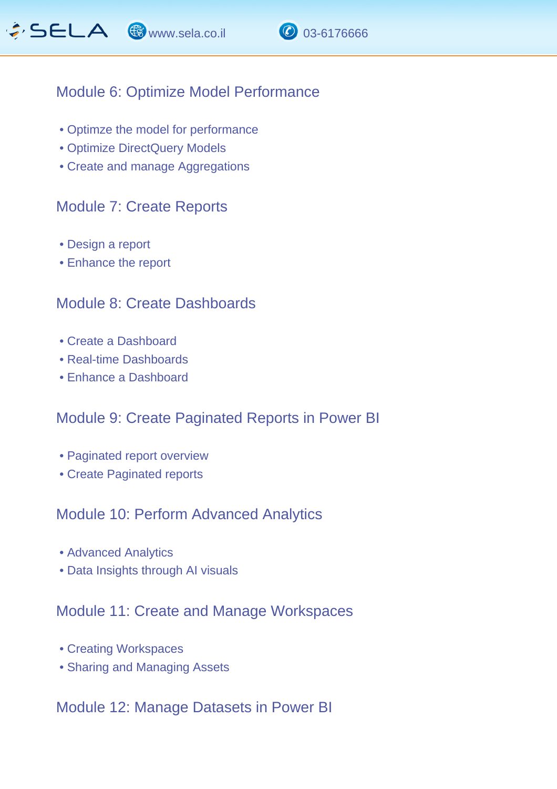

#### Module 6: Optimize Model Performance

- Optimze the model for performance
- Optimize DirectQuery Models
- Create and manage Aggregations

#### Module 7: Create Reports

- Design a report
- Enhance the report

#### Module 8: Create Dashboards

- Create a Dashboard
- Real-time Dashboards
- Enhance a Dashboard

### Module 9: Create Paginated Reports in Power BI

- Paginated report overview
- Create Paginated reports

#### Module 10: Perform Advanced Analytics

- Advanced Analytics
- Data Insights through AI visuals

#### Module 11: Create and Manage Workspaces

- Creating Workspaces
- Sharing and Managing Assets

#### Module 12: Manage Datasets in Power BI